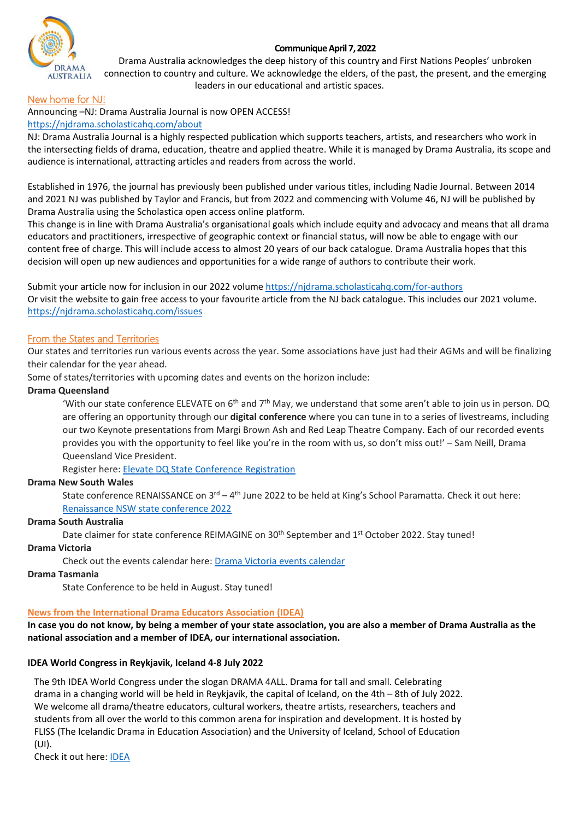## **Communique April 7, 2022**



Drama Australia acknowledges the deep history of this country and First Nations Peoples' unbroken connection to country and culture. We acknowledge the elders, of the past, the present, and the emerging leaders in our educational and artistic spaces.

# New home for NJ!

Announcing –NJ: Drama Australia Journal is now OPEN ACCESS!

# [https://njdrama.scholasticahq.com/about](https://njdrama.scholasticahq.com/about?fbclid=IwAR14MoM293DskqQtvK8uNbQe_1KYuUcuUBA7aQSjadJ_OROrkebNl9YXyqI)

NJ: Drama Australia Journal is a highly respected publication which supports teachers, artists, and researchers who work in the intersecting fields of drama, education, theatre and applied theatre. While it is managed by Drama Australia, its scope and audience is international, attracting articles and readers from across the world.

Established in 1976, the journal has previously been published under various titles, including Nadie Journal. Between 2014 and 2021 NJ was published by Taylor and Francis, but from 2022 and commencing with Volume 46, NJ will be published by Drama Australia using the Scholastica open access online platform.

This change is in line with Drama Australia's organisational goals which include equity and advocacy and means that all drama educators and practitioners, irrespective of geographic context or financial status, will now be able to engage with our content free of charge. This will include access to almost 20 years of our back catalogue. Drama Australia hopes that this decision will open up new audiences and opportunities for a wide range of authors to contribute their work.

Submit your article now for inclusion in our 2022 volume [https://njdrama.scholasticahq.com/for-authors](https://l.facebook.com/l.php?u=https%3A%2F%2Fnjdrama.scholasticahq.com%2Ffor-authors%3Ffbclid%3DIwAR2RFAmXn0s922j0ZhXku_lkBV59EKBkAifgERKnCMhk2mZ_AshfqgyN9fc&h=AT1tRbFfspW0JREjGjlID33nbc3WhsiNFPmUm34lEYTah9-aGtQF7BeskYO8VPUuRhgmeBka-BZb2cyoVOIp3siBy94UJNfE7v316dhlUGb7gOtKuJ99bR5O0zYSwNS4eQ&__tn__=-UK-R&c%5b0%5d=AT2NvsbcVhCbRkwO34vVwL768GqkIn9ssgygtc-4-4xDNu-ETki77Kf31HLvdfPqFznVbIpJ0gMoEAGjw2HmyZkbdjxr5YtBouLmuc7uUl0yeTahdHLPjnRUKyVjFIij4NuE7xqCX307bd5MlITUmPLMoFH5qBvRMYT9VeHR_6rBoPE) Or visit the website to gain free access to your favourite article from the NJ back catalogue. This includes our 2021 volume. [https://njdrama.scholasticahq.com/issues](https://l.facebook.com/l.php?u=https%3A%2F%2Fnjdrama.scholasticahq.com%2Fissues%3Ffbclid%3DIwAR25AS8GHAi5J8ySuJqH0HZXgAIWrzRkKIWcMR0ajQvXF_SWaHHHaHQHI6o&h=AT1L07NcUX74b0WcqGbu_-Onc0_l_GS7vNkmoN5icyRi7QoF6Be2oTkzQIzKli1prKSqADDT1HLDYaddnua-EJ6Q_iHLejSWf31r20Tg9789gFyZBKepVGTtSVf5HB741g&__tn__=-UK-R&c%5b0%5d=AT2NvsbcVhCbRkwO34vVwL768GqkIn9ssgygtc-4-4xDNu-ETki77Kf31HLvdfPqFznVbIpJ0gMoEAGjw2HmyZkbdjxr5YtBouLmuc7uUl0yeTahdHLPjnRUKyVjFIij4NuE7xqCX307bd5MlITUmPLMoFH5qBvRMYT9VeHR_6rBoPE)

# From the States and Territories

Our states and territories run various events across the year. Some associations have just had their AGMs and will be finalizing their calendar for the year ahead.

Some of states/territories with upcoming dates and events on the horizon include:

### **Drama Queensland**

'With our state conference ELEVATE on  $6<sup>th</sup>$  and  $7<sup>th</sup>$  May, we understand that some aren't able to join us in person. DQ are offering an opportunity through our **digital conference** where you can tune in to a series of livestreams, including our two Keynote presentations from Margi Brown Ash and Red Leap Theatre Company. Each of our recorded events provides you with the opportunity to feel like you're in the room with us, so don't miss out!' – Sam Neill, Drama Queensland Vice President.

Register here: [Elevate DQ State Conference Registration](https://www.dramaqueensland.org.au/pd/conference/conference-registration/)

#### **Drama New South Wales**

State conference RENAISSANCE on  $3^{rd} - 4^{th}$  June 2022 to be held at King's School Paramatta. Check it out here: [Renaissance NSW state conference 2022](https://dramansw.org.au/event/renaissance-nsw-state-conference-2022/) 

#### **Drama South Australia**

Date claimer for state conference REIMAGINE on 30<sup>th</sup> September and 1<sup>st</sup> October 2022. Stay tuned!

#### **Drama Victoria**

Check out the events calendar here[: Drama Victoria events calendar](https://www.dramavictoria.vic.edu.au/events/events-calendar/)

## **Drama Tasmania**

State Conference to be held in August. Stay tuned!

#### **News from the International Drama Educators Association (IDEA)**

**In case you do not know, by being a member of your state association, you are also a member of Drama Australia as the national association and a member of IDEA, our international association.** 

#### **IDEA World Congress in Reykjavik, Iceland 4-8 July 2022**

The 9th IDEA World Congress under the slogan DRAMA 4ALL. Drama for tall and small. Celebrating drama in a changing world will be held in Reykjavík, the capital of Iceland, on the 4th – 8th of July 2022. We welcome all drama/theatre educators, cultural workers, theatre artists, researchers, teachers and students from all over the world to this common arena for inspiration and development. It is hosted by FLISS (The Icelandic Drama in Education Association) and the University of Iceland, School of Education (UI).

Check it out here: [IDEA](https://www.ideadrama.org/page-18262/12252014#:%7E:text=The%209th%20IDEA%20World%20Congress,4th%20%E2%80%93%208th%20of%20July%202022)